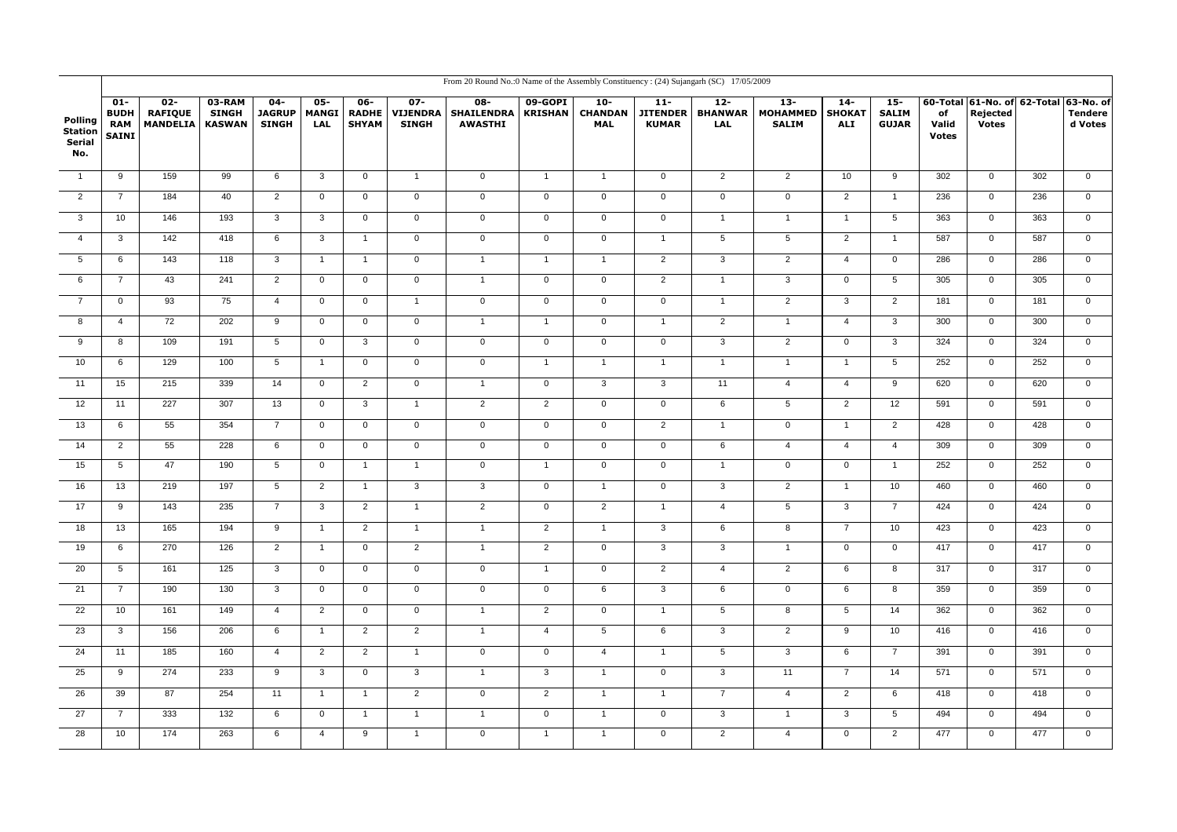|                                            |                                                     |                                             |                                         |                                         |                                      |                                     |                                           | From 20 Round No.:0 Name of the Assembly Constituency: (24) Sujangarh (SC) 17/05/2009 |                           |                                        |                        |                                            |                                          |                                      |                                        |                             |                                                         |     |                                          |
|--------------------------------------------|-----------------------------------------------------|---------------------------------------------|-----------------------------------------|-----------------------------------------|--------------------------------------|-------------------------------------|-------------------------------------------|---------------------------------------------------------------------------------------|---------------------------|----------------------------------------|------------------------|--------------------------------------------|------------------------------------------|--------------------------------------|----------------------------------------|-----------------------------|---------------------------------------------------------|-----|------------------------------------------|
| Polling<br><b>Station</b><br>Serial<br>No. | $01 -$<br><b>BUDH</b><br><b>RAM</b><br><b>SAINI</b> | $02 -$<br><b>RAFIQUE</b><br><b>MANDELIA</b> | 03-RAM<br><b>SINGH</b><br><b>KASWAN</b> | $04 -$<br><b>JAGRUP</b><br><b>SINGH</b> | $05 -$<br><b>MANGI</b><br><b>LAL</b> | 06-<br><b>RADHE</b><br><b>SHYAM</b> | $07 -$<br><b>VIJENDRA</b><br><b>SINGH</b> | $08-$<br><b>SHAILENDRA</b><br><b>AWASTHI</b>                                          | 09-GOPI<br><b>KRISHAN</b> | $10 -$<br><b>CHANDAN</b><br><b>MAL</b> | $11 -$<br><b>KUMAR</b> | $12 -$<br>JITENDER   BHANWAR<br><b>LAL</b> | $13-$<br><b>MOHAMMED</b><br><b>SALIM</b> | $14-$<br><b>SHOKAT</b><br><b>ALI</b> | $15 -$<br><b>SALIM</b><br><b>GUJAR</b> | of<br>Valid<br><b>Votes</b> | 60-Total 61-No. of 62-Total<br>Rejected<br><b>Votes</b> |     | $63-No.$ of<br><b>Tendere</b><br>d Votes |
| $\overline{1}$                             | 9                                                   | 159                                         | 99                                      | 6                                       | 3                                    | $\mathbf 0$                         | $\overline{1}$                            | $\mathsf 0$                                                                           | $\overline{1}$            | $\overline{1}$                         | $\mathbf{0}$           | $\overline{2}$                             | $\overline{2}$                           | 10                                   | 9                                      | 302                         | $\mathbf 0$                                             | 302 | $\mathbf 0$                              |
| $\overline{2}$                             | $\overline{7}$                                      | 184                                         | 40                                      | $\overline{2}$                          | $\overline{0}$                       | $\overline{0}$                      | $\overline{0}$                            | $\overline{0}$                                                                        | $\overline{0}$            | $\overline{0}$                         | $\overline{0}$         | $\overline{0}$                             | $\overline{0}$                           | $\overline{2}$                       | $\overline{1}$                         | 236                         | $\overline{0}$                                          | 236 | $\overline{0}$                           |
| $\overline{\mathbf{3}}$                    | 10                                                  | 146                                         | 193                                     | $\overline{3}$                          | $\overline{3}$                       | $\overline{0}$                      | $\overline{0}$                            | $\overline{0}$                                                                        | $\overline{0}$            | $\overline{0}$                         | $\overline{0}$         | $\overline{1}$                             | $\overline{1}$                           | $\overline{1}$                       | $5\overline{)}$                        | 363                         | $\overline{0}$                                          | 363 | $\overline{0}$                           |
| $\overline{4}$                             | $\mathbf{3}$                                        | $\frac{1}{42}$                              | 418                                     | 6                                       | $\mathbf{3}$                         | $\mathbf{1}$                        | $\mathbf 0$                               | $\overline{0}$                                                                        | $\overline{0}$            | $\overline{0}$                         | $\mathbf{1}$           | $5\overline{)}$                            | $\overline{5}$                           | $\overline{2}$                       | $\overline{1}$                         | 587                         | $\overline{0}$                                          | 587 | $\overline{0}$                           |
| $5\overline{)}$                            | 6                                                   | $\frac{143}{2}$                             | 118                                     | $\mathbf{3}$                            | $\mathbf{1}$                         | $\mathbf{1}$                        | $\mathbf 0$                               | $\mathbf{1}$                                                                          | $\overline{1}$            | $\overline{1}$                         | $\overline{2}$         | $\overline{3}$                             | $\overline{2}$                           | $\overline{4}$                       | $\overline{0}$                         | 286                         | $\mathbf 0$                                             | 286 | $\overline{0}$                           |
| 6                                          | $\overline{7}$                                      | 43                                          | 241                                     | $\overline{2}$                          | $\mathbf 0$                          | $\mathbf 0$                         | $\mathsf 0$                               | $\mathbf{1}$                                                                          | $\mathsf 0$               | $\overline{0}$                         | $\overline{2}$         | $\mathbf{1}$                               | $\overline{3}$                           | $\mathbf 0$                          | $5\phantom{.0}$                        | 305                         | $\overline{0}$                                          | 305 | $\overline{0}$                           |
| $\overline{7}$                             | $\mathsf 0$                                         | 93                                          | 75                                      | $\overline{4}$                          | $\mathsf 0$                          | $\mathbf 0$                         | $\mathbf{1}$                              | $\overline{0}$                                                                        | $\mathbf 0$               | $\overline{0}$                         | $\overline{0}$         | $\mathbf{1}$                               | $\overline{2}$                           | $\overline{3}$                       | $\overline{2}$                         | 181                         | $\overline{0}$                                          | 181 | $\overline{0}$                           |
| $\overline{\mathbf{8}}$                    | $\overline{4}$                                      | 72                                          | 202                                     | $\overline{9}$                          | $\overline{0}$                       | $\overline{0}$                      | $\overline{0}$                            | $\overline{1}$                                                                        | $\overline{1}$            | $\overline{0}$                         | $\overline{1}$         | $\overline{2}$                             | $\overline{1}$                           | $\overline{4}$                       | $\overline{3}$                         | 300                         | $\overline{0}$                                          | 300 | $\overline{0}$                           |
| $_{9}$                                     | 8                                                   | 109                                         | 191                                     | $\overline{5}$                          | $\overline{0}$                       | $\overline{3}$                      | $\overline{0}$                            | $\overline{0}$                                                                        | $\overline{0}$            | $\overline{0}$                         | $\overline{0}$         | $\overline{3}$                             | $\overline{2}$                           | $\overline{0}$                       | $\overline{3}$                         | 324                         | $\overline{0}$                                          | 324 | $\overline{0}$                           |
| 10                                         | 6                                                   | 129                                         | 100                                     | $\overline{5}$                          | $\mathbf{1}$                         | $\overline{0}$                      | $\overline{0}$                            | $\overline{0}$                                                                        | $\overline{1}$            | $\overline{1}$                         | $\overline{1}$         | $\overline{1}$                             | $\overline{1}$                           | $\mathbf{1}$                         | $5\overline{)}$                        | 252                         | $\overline{0}$                                          | 252 | $\overline{0}$                           |
| 11                                         | 15                                                  | 215                                         | 339                                     | 14                                      | $\mathsf 0$                          | $\overline{2}$                      | $\overline{0}$                            | $\mathbf{1}$                                                                          | $\mathsf 0$               | $\mathbf{3}$                           | $\overline{3}$         | 11                                         | $\overline{4}$                           | $\overline{4}$                       | 9                                      | 620                         | $\overline{0}$                                          | 620 | $\overline{0}$                           |
| 12                                         | 11                                                  | 227                                         | 307                                     | 13                                      | $\overline{0}$                       | $\overline{3}$                      | $\mathbf{1}$                              | $\overline{2}$                                                                        | $\overline{2}$            | $\overline{0}$                         | $\overline{0}$         | 6                                          | $\overline{5}$                           | $\overline{2}$                       | 12                                     | 591                         | $\overline{0}$                                          | 591 | $\overline{0}$                           |
| 13                                         | 6                                                   | 55                                          | 354                                     | $\overline{7}$                          | $\overline{0}$                       | $\overline{0}$                      | $\overline{0}$                            | $\overline{0}$                                                                        | $\overline{0}$            | $\overline{0}$                         | $\overline{2}$         | $\overline{1}$                             | $\overline{0}$                           | $\mathbf{1}$                         | $\overline{2}$                         | 428                         | $\overline{0}$                                          | 428 | $\overline{0}$                           |
| 14                                         | 2                                                   | 55                                          | 228                                     | $\,6\,$                                 | $\mathbf 0$                          | $\mathbf{0}$                        | $\mathbf 0$                               | $\mathbf 0$                                                                           | $\mathsf 0$               | $\mathbf 0$                            | $\mathsf{O}$           | 6                                          | $\overline{4}$                           | $\overline{4}$                       | $\overline{4}$                         | 309                         | $\mathsf 0$                                             | 309 | $\overline{0}$                           |
| 15                                         | $\sqrt{5}$                                          | 47                                          | 190                                     | $5\phantom{.0}$                         | $\mathsf 0$                          | $\mathbf{1}$                        | $\overline{1}$                            | $\mathbf 0$                                                                           | $\overline{1}$            | $\mathbf 0$                            | $\mathbf 0$            | $\mathbf{1}$                               | $\mathbf 0$                              | $\mathsf 0$                          | $\overline{1}$                         | 252                         | $\mathsf 0$                                             | 252 | $\mathsf 0$                              |
| 16                                         | 13                                                  | 219                                         | 197                                     | $\overline{5}$                          | $\overline{2}$                       | $\overline{1}$                      | $\overline{\mathbf{3}}$                   | $\overline{3}$                                                                        | $\overline{0}$            | $\overline{1}$                         | $\overline{0}$         | $\overline{3}$                             | $\overline{2}$                           | $\overline{1}$                       | 10                                     | 460                         | $\overline{0}$                                          | 460 | $\overline{0}$                           |
| 17                                         | 9                                                   | 143                                         | 235                                     | $\overline{7}$                          | $\overline{3}$                       | $\overline{2}$                      | $\overline{1}$                            | $\overline{2}$                                                                        | $\overline{0}$            | $\overline{2}$                         | $\mathbf{1}$           | $\overline{4}$                             | $\overline{5}$                           | $\overline{3}$                       | $\overline{7}$                         | 424                         | $\overline{0}$                                          | 424 | $\overline{0}$                           |
| 18                                         | 13                                                  | 165                                         | 194                                     | 9                                       | $\mathbf{1}$                         | $\overline{2}$                      | $\overline{1}$                            | $\mathbf{1}$                                                                          | $\overline{2}$            | $\overline{1}$                         | $\overline{3}$         | 6                                          | 8                                        | $\overline{7}$                       | 10                                     | 423                         | $\mathsf 0$                                             | 423 | $\mathbf 0$                              |
| 19                                         | 6                                                   | 270                                         | 126                                     | $\overline{2}$                          | $\mathbf{1}$                         | $\overline{0}$                      | $\overline{2}$                            | $\overline{1}$                                                                        | $\overline{2}$            | $\overline{0}$                         | $\overline{3}$         | $\overline{3}$                             | $\overline{1}$                           | $\overline{0}$                       | $\overline{0}$                         | 417                         | $\overline{0}$                                          | 417 | $\overline{0}$                           |
| 20                                         | $5\phantom{.0}$                                     | 161                                         | 125                                     | $\overline{3}$                          | $\overline{0}$                       | $\overline{0}$                      | $\overline{0}$                            | $\overline{0}$                                                                        | $\overline{1}$            | $\overline{0}$                         | $\overline{2}$         | $\overline{4}$                             | $\overline{2}$                           | 6                                    | $\overline{8}$                         | 317                         | $\overline{0}$                                          | 317 | $\overline{0}$                           |
| 21                                         | $\overline{7}$                                      | 190                                         | 130                                     | $\mathbf{3}$                            | $\mathsf{O}$                         | $\mathbf{0}$                        | $\mathbf 0$                               | $\mathbf 0$                                                                           | $\mathsf 0$               | 6                                      | $\overline{3}$         | 6                                          | $\overline{0}$                           | 6                                    | 8                                      | 359                         | $\mathbf 0$                                             | 359 | $\overline{0}$                           |
| 22                                         | 10                                                  | 161                                         | 149                                     | $\overline{4}$                          | $\overline{2}$                       | $\mathbf 0$                         | $\mathsf 0$                               | $\mathbf{1}$                                                                          | $\overline{2}$            | $\mathbf 0$                            | $\mathbf{1}$           | 5                                          | $\overline{8}$                           | $5\phantom{.0}$                      | 14                                     | 362                         | $\mathsf 0$                                             | 362 | $\mathbf 0$                              |
| 23                                         | $\mathbf{3}$                                        | 156                                         | 206                                     | 6                                       | $\mathbf{1}$                         | $\overline{2}$                      | $\overline{2}$                            | $\overline{1}$                                                                        | $\overline{4}$            | $5\overline{)}$                        | 6                      | $\overline{3}$                             | $\overline{2}$                           | $\overline{9}$                       | 10                                     | 416                         | $\overline{0}$                                          | 416 | $\overline{0}$                           |
| 24                                         | 11                                                  | 185                                         | 160                                     | $\overline{4}$                          | $\overline{2}$                       | $\overline{2}$                      | $\overline{1}$                            | $\mathbf 0$                                                                           | $\mathbf 0$               | $\overline{4}$                         | $\mathbf{1}$           | 5                                          | $\overline{3}$                           | 6                                    | $\overline{7}$                         | 391                         | $\mathbf 0$                                             | 391 | $\overline{0}$                           |
| 25                                         | 9                                                   | 274                                         | 233                                     | $\,9$                                   | $\mathbf{3}$                         | $\mathsf{O}\xspace$                 | $\overline{3}$                            | $\mathbf{1}$                                                                          | $\mathbf{3}$              | $\overline{1}$                         | $\overline{0}$         | $\mathbf{3}$                               | 11                                       | $\overline{7}$                       | 14                                     | 571                         | $\overline{0}$                                          | 571 | $\mathsf{O}\xspace$                      |
| 26                                         | 39                                                  | 87                                          | 254                                     | 11                                      | $\mathbf{1}$                         | $\mathbf{1}$                        | $\overline{2}$                            | $\overline{0}$                                                                        | $\overline{2}$            | $\overline{1}$                         | $\mathbf{1}$           | $\overline{7}$                             | $\overline{4}$                           | $\overline{2}$                       | 6                                      | 418                         | $\overline{0}$                                          | 418 | $\overline{0}$                           |
| 27                                         | $\overline{7}$                                      | 333                                         | 132                                     | 6                                       | $\mathbf 0$                          | $\mathbf{1}$                        | $\overline{1}$                            | $\mathbf{1}$                                                                          | $\mathsf 0$               | $\overline{1}$                         | $\mathsf{O}$           | $\overline{3}$                             | $\overline{1}$                           | 3                                    | $5\overline{)}$                        | 494                         | $\mathbf 0$                                             | 494 | $\mathbf 0$                              |
| 28                                         | 10                                                  | 174                                         | 263                                     | 6                                       | $\overline{4}$                       | 9                                   | $\mathbf{1}$                              | $\mathbf 0$                                                                           | $\mathbf{1}$              | $\overline{1}$                         | $\mathbf 0$            | $\overline{2}$                             | $\overline{4}$                           | $\mathbf 0$                          | $\overline{2}$                         | 477                         | $\mathbf 0$                                             | 477 | $\mathbf 0$                              |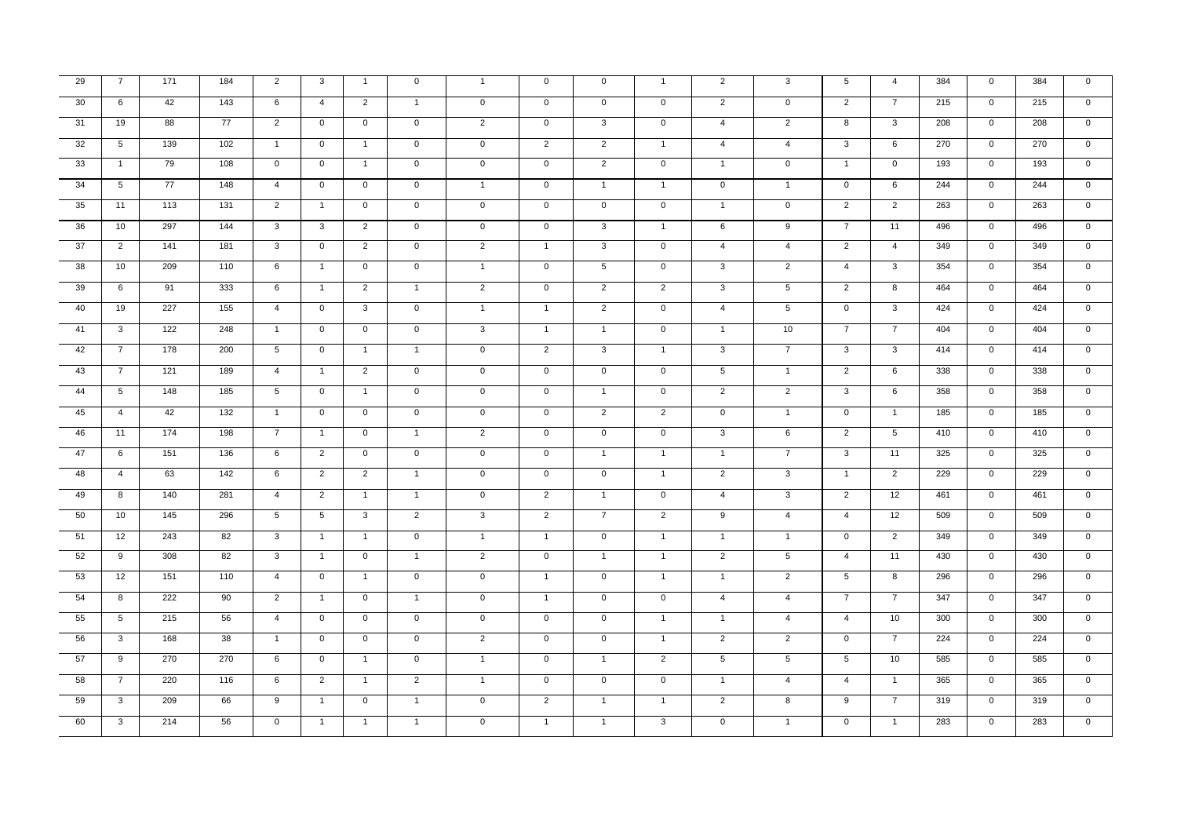| 29 | $\overline{7}$  | 171 | 184 | 2                       | $\mathbf{3}$    | $\overline{1}$ | $\mathbf 0$    | $\mathbf{1}$        | $\mathbf 0$    | $\mathbf 0$     | $\mathbf{1}$   | $\overline{2}$  | $\overline{3}$  | 5               | $\overline{4}$          | 384 | $\mathbf{0}$   | 384 | $\mathbf 0$         |
|----|-----------------|-----|-----|-------------------------|-----------------|----------------|----------------|---------------------|----------------|-----------------|----------------|-----------------|-----------------|-----------------|-------------------------|-----|----------------|-----|---------------------|
| 30 | 6               | 42  | 143 | 6                       | $\overline{4}$  | $\overline{2}$ | $\overline{1}$ | $\mathbf 0$         | $\overline{0}$ | $\overline{0}$  | $\overline{0}$ | $\overline{2}$  | $\overline{0}$  | $\overline{2}$  | $\overline{7}$          | 215 | $\overline{0}$ | 215 | $\overline{0}$      |
| 31 | 19              | 88  | 77  | 2                       | $\mathsf 0$     | $\mathbf 0$    | $\mathbf 0$    | $\overline{2}$      | $\mathbf 0$    | 3               | $\mathbf{0}$   | $\overline{4}$  | $\overline{2}$  | 8               | 3                       | 208 | $\mathbf{0}$   | 208 | $\mathbf 0$         |
| 32 | $5\overline{5}$ | 139 | 102 | $\mathbf{1}$            | $\mathbf{0}$    | $\mathbf{1}$   | $\mathbf 0$    | $\mathbf 0$         | $\overline{2}$ | $\overline{2}$  | $\mathbf{1}$   | $\overline{4}$  | $\overline{4}$  | 3               | 6                       | 270 | $\mathbf{0}$   | 270 | $\mathbf 0$         |
| 33 | $\mathbf{1}$    | 79  | 108 | $\mathbf{0}$            | $\mathbf{0}$    | $\overline{1}$ | $\mathsf 0$    | $\mathsf{O}\xspace$ | $\mathbf{0}$   | 2               | $\mathbf{0}$   | $\mathbf{1}$    | $\mathbf{0}$    | $\overline{1}$  | $\mathbf{0}$            | 193 | $\mathbf{0}$   | 193 | $\mathbf{0}$        |
| 34 | 5               | 77  | 148 | $\overline{4}$          | $\mathbf{0}$    | $\mathbf{0}$   | $\mathsf 0$    | $\mathbf{1}$        | $\mathsf{O}$   | $\mathbf{1}$    | $\overline{1}$ | $\mathbf{0}$    | $\overline{1}$  | $\mathbf{0}$    | 6                       | 244 | $\overline{0}$ | 244 | $\mathbf{0}$        |
| 35 | 11              | 113 | 131 | 2                       | $\overline{1}$  | $\overline{0}$ | $\mathbf 0$    | $\overline{0}$      | $\overline{0}$ | $\mathbf{0}$    | $\overline{0}$ | $\mathbf{1}$    | $\mathbf 0$     | 2               | 2                       | 263 | $\overline{0}$ | 263 | $\overline{0}$      |
| 36 | 10              | 297 | 144 | $\overline{\mathbf{3}}$ | $\overline{3}$  | $\overline{2}$ | $\mathsf 0$    | $\mathbf 0$         | $\overline{0}$ | $\overline{3}$  | $\overline{1}$ | 6               | $\overline{9}$  | $\overline{7}$  | 11                      | 496 | $\overline{0}$ | 496 | $\overline{0}$      |
| 37 | $\overline{2}$  | 141 | 181 | $\mathbf{3}$            | $\mathbf{0}$    | 2              | $\mathsf 0$    | $\overline{2}$      | $\mathbf{1}$   | 3               | $\mathbf 0$    | $\overline{4}$  | $\overline{4}$  | $\overline{2}$  | $\overline{4}$          | 349 | $\mathbf{0}$   | 349 | $\mathbf 0$         |
| 38 | 10              | 209 | 110 | 6                       | $\overline{1}$  | $\mathbf 0$    | $\mathbf 0$    | $\mathbf{1}$        | $\mathbf{0}$   | $5\overline{)}$ | $\mathbf 0$    | $\overline{3}$  | $\overline{2}$  | $\overline{4}$  | $\mathbf{3}$            | 354 | $\mathbf 0$    | 354 | $\mathbf 0$         |
| 39 | 6               | 91  | 333 | 6                       | $\overline{1}$  | $\overline{2}$ | $\overline{1}$ | $\overline{2}$      | $\mathsf{O}$   | $\overline{2}$  | $\overline{2}$ | $\overline{3}$  | $5\overline{5}$ | $\overline{2}$  | 8                       | 464 | $\overline{0}$ | 464 | $\overline{0}$      |
| 40 | 19              | 227 | 155 | $\overline{4}$          | $\mathbf 0$     | $\mathbf{3}$   | $\mathbf 0$    | $\mathbf{1}$        | $\mathbf{1}$   | $\overline{2}$  | $\mathbf{0}$   | $\overline{4}$  | $5\overline{5}$ | $\overline{0}$  | $\mathbf{3}$            | 424 | $\overline{0}$ | 424 | $\mathbf{0}$        |
| 41 | $\mathbf{3}$    | 122 | 248 | $\overline{1}$          | $\mathbf 0$     | $\mathbf 0$    | $\mathsf 0$    | $\mathbf{3}$        | $\overline{1}$ | $\overline{1}$  | $\mathbf 0$    | $\mathbf{1}$    | 10              | $\overline{7}$  | $\overline{7}$          | 404 | $\mathbf{0}$   | 404 | $\overline{0}$      |
| 42 | $\overline{7}$  | 178 | 200 | $5\overline{5}$         | $\mathbf{0}$    | $\overline{1}$ | $\overline{1}$ | $\mathbf 0$         | $\overline{2}$ | $\mathbf{3}$    | $\overline{1}$ | $\overline{3}$  | $\overline{7}$  | $\mathbf{3}$    | 3                       | 414 | $\mathbf{0}$   | 414 | $\mathbf 0$         |
| 43 | $\overline{7}$  | 121 | 189 | $\overline{4}$          | $\overline{1}$  | $\overline{2}$ | $\overline{0}$ | $\mathbf{0}$        | $\overline{0}$ | $\overline{0}$  | $\overline{0}$ | $5\overline{)}$ | $\overline{1}$  | $\overline{2}$  | 6                       | 338 | $\overline{0}$ | 338 | $\overline{0}$      |
| 44 | $5\overline{5}$ | 148 | 185 | $5\overline{)}$         | $\mathbf 0$     | $\overline{1}$ | $\mathbf 0$    | $\overline{0}$      | $\overline{0}$ | $\overline{1}$  | $\overline{0}$ | $\overline{2}$  | $\overline{2}$  | $\mathbf{3}$    | 6                       | 358 | $\overline{0}$ | 358 | $\overline{0}$      |
| 45 | $\overline{4}$  | 42  | 132 | $\mathbf{1}$            | $\overline{0}$  | $\overline{0}$ | $\overline{0}$ | $\overline{0}$      | $\overline{0}$ | $\overline{2}$  | $\overline{2}$ | $\overline{0}$  | $\overline{1}$  | $\overline{0}$  | $\mathbf{1}$            | 185 | $\overline{0}$ | 185 | $\overline{0}$      |
| 46 | 11              | 174 | 198 | $\overline{7}$          | $\overline{1}$  | $\mathbf{0}$   | $\overline{1}$ | 2                   | $\mathbf{0}$   | $\overline{0}$  | $\overline{0}$ | $\overline{3}$  | 6               | $\overline{2}$  | 5                       | 410 | $\overline{0}$ | 410 | $\overline{0}$      |
| 47 | 6               | 151 | 136 | 6                       | 2               | $\mathbf{0}$   | $\mathsf 0$    | $\mathbf 0$         | $\mathbf{0}$   | $\overline{1}$  | $\overline{1}$ | $\overline{1}$  | $\overline{7}$  | $\mathbf{3}$    | 11                      | 325 | $\mathbf{0}$   | 325 | $\mathbf 0$         |
| 48 | $\overline{4}$  | 63  | 142 | 6                       | $\overline{2}$  | $\overline{2}$ | $\overline{1}$ | $\mathbf 0$         | $\mathsf{O}$   | $\mathbf 0$     | $\overline{1}$ | $\overline{2}$  | $\mathbf{3}$    | $\mathbf{1}$    | $\overline{2}$          | 229 | $\mathbf{0}$   | 229 | $\mathbf 0$         |
| 49 | 8               | 140 | 281 | $\overline{4}$          | $\overline{2}$  | $\mathbf{1}$   | $\overline{1}$ | $\mathbf 0$         | $\overline{2}$ | $\mathbf{1}$    | $\mathbf{0}$   | $\overline{4}$  | $\overline{3}$  | $\overline{2}$  | 12                      | 461 | $\overline{0}$ | 461 | $\overline{0}$      |
| 50 | 10              | 145 | 296 | $5\overline{5}$         | $5\overline{5}$ | 3              | $\overline{2}$ | $\overline{3}$      | $\overline{2}$ | $\overline{7}$  | $\overline{2}$ | $\overline{9}$  | $\overline{4}$  | $\overline{4}$  | 12                      | 509 | $\overline{0}$ | 509 | $\mathbf 0$         |
| 51 | 12              | 243 | 82  | $\mathbf{3}$            | $\overline{1}$  | $\overline{1}$ | $\mathbf 0$    | $\mathbf{1}$        | $\overline{1}$ | $\mathbf 0$     | $\overline{1}$ | $\overline{1}$  | $\overline{1}$  | $\mathbf 0$     | 2                       | 349 | $\mathbf{0}$   | 349 | $\mathbf 0$         |
| 52 | 9               | 308 | 82  | $\overline{3}$          | $\mathbf{1}$    | $\overline{0}$ | $\mathbf{1}$   | $\overline{2}$      | $\mathbf{0}$   | $\mathbf{1}$    | $\mathbf{1}$   | $\overline{2}$  | $\overline{5}$  | $\overline{4}$  | 11                      | 430 | $\mathbf{0}$   | 430 | $\overline{0}$      |
| 53 | 12              | 151 | 110 | $\overline{4}$          | $\overline{0}$  | $\overline{1}$ | $\overline{0}$ | $\overline{0}$      | $\overline{1}$ | $\overline{0}$  | $\overline{1}$ | $\overline{1}$  | $\overline{2}$  | $5\overline{)}$ | $\overline{\mathbf{8}}$ | 296 | $\overline{0}$ | 296 | $\overline{0}$      |
| 54 | 8               | 222 | 90  | 2                       | $\overline{1}$  | $\mathbf{0}$   | $\overline{1}$ | $\mathbf 0$         | $\overline{1}$ | $\mathbf{0}$    | $\mathbf{0}$   | $\overline{4}$  | $\overline{4}$  | $7\overline{ }$ | $\overline{7}$          | 347 | $\mathbf 0$    | 347 | $\mathbf 0$         |
| 55 | $5\phantom{.0}$ | 215 | 56  | $\overline{4}$          | $\mathbf 0$     | $\mathbf{0}$   | $\mathbf 0$    | $\mathbf 0$         | $\mathbf{0}$   | $\mathbf 0$     | $\overline{1}$ | $\mathbf{1}$    | $\overline{4}$  | $\overline{4}$  | 10                      | 300 | $\mathbf{0}$   | 300 | $\mathsf{O}\xspace$ |
| 56 | $\mathbf{3}$    | 168 | 38  | $\overline{1}$          | $\overline{0}$  | $\mathbf 0$    | $\mathsf 0$    | $\overline{2}$      | $\mathbf{0}$   | $\mathbf 0$     | $\mathbf{1}$   | $\overline{2}$  | $\overline{2}$  | $\overline{0}$  | $\overline{7}$          | 224 | $\mathbf{0}$   | 224 | $\mathbf 0$         |
| 57 | 9               | 270 | 270 | 6                       | $\overline{0}$  | $\overline{1}$ | $\mathsf 0$    | $\mathbf{1}$        | $\mathbf 0$    | $\overline{1}$  | $\overline{2}$ | $5\overline{)}$ | $\overline{5}$  | $5\overline{)}$ | 10                      | 585 | $\overline{0}$ | 585 | $\mathbf{0}$        |
| 58 | $7\overline{ }$ | 220 | 116 | 6                       | $\overline{2}$  | $\overline{1}$ | 2              | $\overline{1}$      | $\overline{0}$ | $\overline{0}$  | $\mathbf{0}$   | $\overline{1}$  | $\overline{4}$  | $\overline{4}$  | $\overline{1}$          | 365 | $\overline{0}$ | 365 | $\mathbf{0}$        |
| 59 | 3               | 209 | 66  | $\overline{9}$          | $\mathbf{1}$    | $\overline{0}$ | $\mathbf{1}$   | $\overline{0}$      | $\overline{2}$ | $\mathbf{1}$    | $\mathbf{1}$   | $\overline{2}$  | $\overline{8}$  | $\overline{9}$  | $\overline{7}$          | 319 | $\overline{0}$ | 319 | $\overline{0}$      |
| 60 | $\overline{3}$  | 214 | 56  | $\mathbf 0$             | $\overline{1}$  | $\overline{1}$ | $\overline{1}$ | $\overline{0}$      | $\mathbf{1}$   | $\overline{1}$  | $\overline{3}$ | $\overline{0}$  | $\overline{1}$  | $\overline{0}$  | $\overline{1}$          | 283 | $\overline{0}$ | 283 | $\overline{0}$      |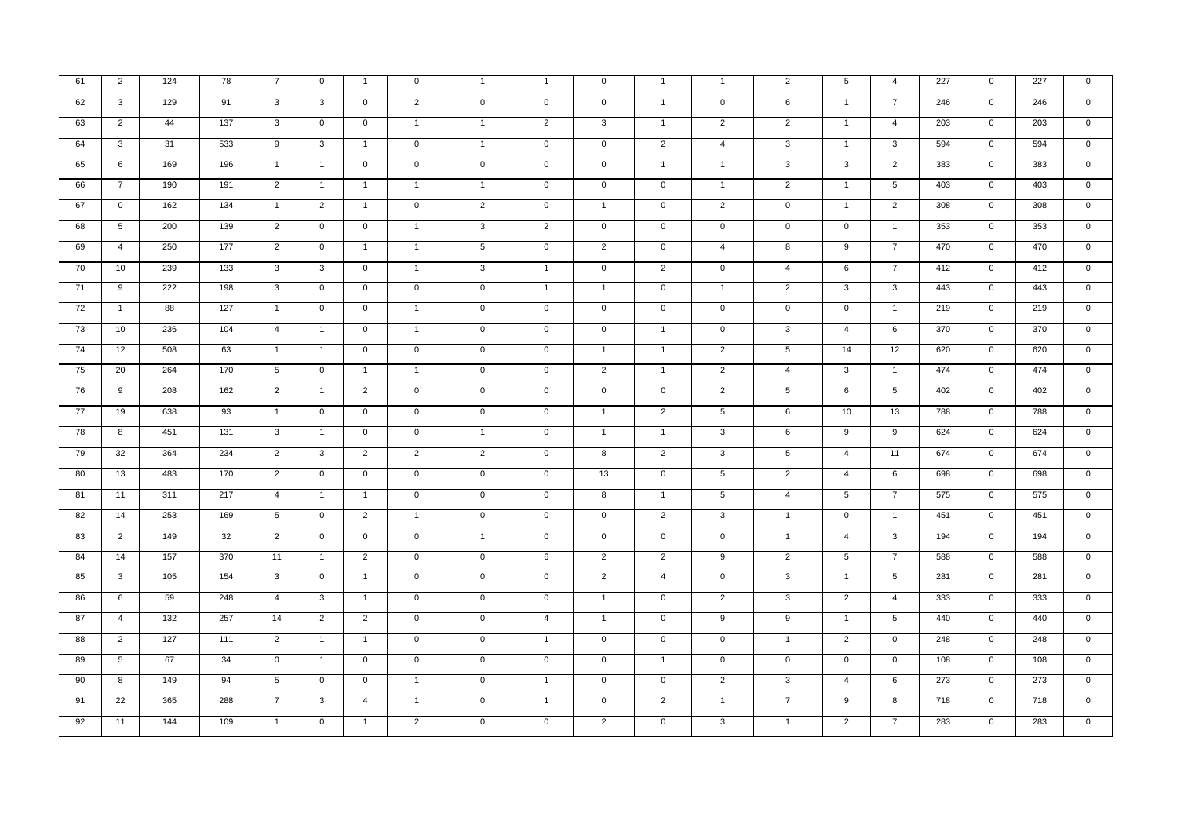| 61              | $\overline{2}$  | 124 | 78  | $\overline{7}$  | $\mathbf 0$    | $\overline{1}$ | $\mathsf 0$    | $\mathbf{1}$        | $\mathbf{1}$   | $\mathbf 0$    | $\overline{1}$ | $\mathbf{1}$    | $\overline{2}$  | 5              | $\overline{4}$  | 227 | $\mathbf 0$         | 227 | $\overline{0}$      |
|-----------------|-----------------|-----|-----|-----------------|----------------|----------------|----------------|---------------------|----------------|----------------|----------------|-----------------|-----------------|----------------|-----------------|-----|---------------------|-----|---------------------|
| 62              | $\overline{3}$  | 129 | 91  | $\overline{3}$  | $\overline{3}$ | $\overline{0}$ | $\overline{2}$ | $\mathbf 0$         | $\overline{0}$ | $\overline{0}$ | $\overline{1}$ | $\overline{0}$  | 6               | $\overline{1}$ | $\overline{7}$  | 246 | $\overline{0}$      | 246 | $\overline{0}$      |
| 63              | 2               | 44  | 137 | $\mathbf{3}$    | $\mathbf 0$    | $\mathbf 0$    | $\overline{1}$ | $\mathbf{1}$        | $\overline{2}$ | 3              | $\overline{1}$ | 2               | $\overline{2}$  | $\overline{1}$ | $\overline{4}$  | 203 | $\mathbf 0$         | 203 | $\mathbf 0$         |
| 64              | 3               | 31  | 533 | 9               | 3              | $\overline{1}$ | $\mathsf 0$    | $\mathbf{1}$        | $\mathbf 0$    | $\mathbf 0$    | 2              | $\overline{4}$  | 3               | $\overline{1}$ | 3               | 594 | $\mathbf{0}$        | 594 | $\mathbf 0$         |
| 65              | 6               | 169 | 196 | $\overline{1}$  | $\overline{1}$ | $\overline{0}$ | $\overline{0}$ | $\overline{0}$      | $\overline{0}$ | $\overline{0}$ | $\overline{1}$ | $\overline{1}$  | $\overline{3}$  | $\overline{3}$ | $\overline{2}$  | 383 | $\overline{0}$      | 383 | $\overline{0}$      |
| 66              | $\overline{7}$  | 190 | 191 | $\overline{2}$  | $\overline{1}$ | $\mathbf{1}$   | $\overline{1}$ | $\mathbf{1}$        | $\mathbf 0$    | $\mathbf 0$    | $\overline{0}$ | $\mathbf{1}$    | $\overline{2}$  | $\mathbf{1}$   | $5\overline{)}$ | 403 | $\overline{0}$      | 403 | $\mathbf 0$         |
| 67              | $\mathbf 0$     | 162 | 134 | $\overline{1}$  | $\overline{2}$ | $\overline{1}$ | $\mathsf 0$    | $\overline{2}$      | $\overline{0}$ | $\overline{1}$ | $\overline{0}$ | 2               | $\mathbf 0$     | $\overline{1}$ | $\overline{2}$  | 308 | $\mathbf{0}$        | 308 | $\overline{0}$      |
| 68              | $5\phantom{.0}$ | 200 | 139 | $\overline{2}$  | $\overline{0}$ | $\overline{0}$ | $\mathbf{1}$   | $\overline{3}$      | $\overline{2}$ | $\overline{0}$ | $\overline{0}$ | $\overline{0}$  | $\overline{0}$  | $\overline{0}$ | $\mathbf{1}$    | 353 | $\overline{0}$      | 353 | $\overline{0}$      |
| 69              | $\overline{4}$  | 250 | 177 | 2               | $\mathbf 0$    | $\overline{1}$ | $\overline{1}$ | $\overline{5}$      | $\mathbf 0$    | $\overline{2}$ | $\overline{0}$ | $\overline{4}$  | 8               | 9              | $\overline{7}$  | 470 | $\mathbf 0$         | 470 | $\overline{0}$      |
| 70              | 10 <sup>1</sup> | 239 | 133 | $\mathbf{3}$    | $\mathbf{3}$   | $\mathbf 0$    | $\mathbf{1}$   | $\mathbf{3}$        | $\overline{1}$ | $\mathsf 0$    | $\overline{2}$ | $\mathbf{0}$    | $\overline{4}$  | 6              | $\overline{7}$  | 412 | $\mathbf{0}$        | 412 | $\mathbf 0$         |
| 71              | 9               | 222 | 198 | $\mathbf{3}$    | $\overline{0}$ | $\mathbf 0$    | $\overline{0}$ | $\mathbf 0$         | $\overline{1}$ | $\overline{1}$ | $\overline{0}$ | $\overline{1}$  | $\overline{2}$  | 3              | $\mathbf{3}$    | 443 | $\overline{0}$      | 443 | $\overline{0}$      |
| $\overline{72}$ | $\overline{1}$  | 88  | 127 | $\overline{1}$  | $\overline{0}$ | $\mathbf 0$    | $\overline{1}$ | $\mathbf{0}$        | $\overline{0}$ | $\mathbf 0$    | $\overline{0}$ | $\overline{0}$  | $\mathbf 0$     | $\overline{0}$ | $\overline{1}$  | 219 | $\mathbf{0}$        | 219 | $\mathbf{0}$        |
| 73              | 10              | 236 | 104 | $\overline{4}$  | $\overline{1}$ | $\mathbf 0$    | $\overline{1}$ | $\mathbf 0$         | $\mathsf{O}$   | $\mathsf 0$    | $\overline{1}$ | $\overline{0}$  | $\overline{3}$  | $\overline{4}$ | 6               | 370 | $\mathbf{0}$        | 370 | $\mathsf{O}\xspace$ |
| 74              | 12              | 508 | 63  | $\overline{1}$  | $\overline{1}$ | $\mathbf{0}$   | $\mathsf 0$    | $\mathsf{O}\xspace$ | $\mathbf 0$    | $\overline{1}$ | $\overline{1}$ | $\overline{2}$  | $5\phantom{.0}$ | 14             | 12              | 620 | $\mathsf{O}\xspace$ | 620 | $\mathbf 0$         |
| 75              | 20              | 264 | 170 | $5\overline{5}$ | $\overline{0}$ | $\mathbf{1}$   | $\mathbf{1}$   | $\mathbf 0$         | $\mathbf 0$    | $\overline{2}$ | $\mathbf{1}$   | $\overline{2}$  | $\overline{4}$  | $\mathbf{3}$   | $\mathbf{1}$    | 474 | $\mathbf{0}$        | 474 | $\overline{0}$      |
| 76              | 9               | 208 | 162 | 2               | $\overline{1}$ | 2              | $\mathsf 0$    | $\mathsf{O}\xspace$ | $\mathbf 0$    | $\mathsf 0$    | $\mathbf 0$    | $\overline{2}$  | $5\phantom{.0}$ | 6              | $5\overline{5}$ | 402 | $\mathbf 0$         | 402 | $\mathbf 0$         |
| 77              | 19              | 638 | 93  | $\overline{1}$  | $\mathbf 0$    | $\mathbf 0$    | $\mathsf 0$    | $\mathbf 0$         | $\mathbf 0$    | $\overline{1}$ | $\overline{2}$ | $5\phantom{.0}$ | 6               | 10             | 13              | 788 | $\mathsf{O}\xspace$ | 788 | $\mathsf{O}\xspace$ |
| 78              | 8               | 451 | 131 | $\overline{3}$  | $\mathbf{1}$   | $\overline{0}$ | $\overline{0}$ | $\mathbf{1}$        | $\overline{0}$ | $\mathbf{1}$   | $\mathbf{1}$   | $\overline{3}$  | 6               | $\overline{9}$ | $\overline{9}$  | 624 | $\overline{0}$      | 624 | $\overline{0}$      |
| 79              | 32              | 364 | 234 | 2               | $\mathbf{3}$   | 2              | 2              | $\overline{2}$      | $\overline{0}$ | 8              | 2              | $\mathbf{3}$    | $\sqrt{5}$      | $\overline{4}$ | 11              | 674 | $\mathbf{0}$        | 674 | $\mathbf 0$         |
| 80              | 13              | 483 | 170 | $\overline{2}$  | $\overline{0}$ | $\mathbf{0}$   | $\mathsf 0$    | $\mathsf{O}\xspace$ | $\mathbf 0$    | 13             | $\overline{0}$ | $5\phantom{.0}$ | $\overline{2}$  | $\overline{4}$ | 6               | 698 | $\mathsf{O}\xspace$ | 698 | $\mathbf 0$         |
| $-81$           | 11              | 311 | 217 | $\overline{4}$  | $\mathbf{1}$   | $\mathbf{1}$   | $\overline{0}$ | $\mathbf 0$         | $\mathbf 0$    | 8              | $\mathbf{1}$   | $5\overline{)}$ | $\overline{4}$  | 5              | $\overline{7}$  | 575 | $\overline{0}$      | 575 | $\overline{0}$      |
| 82              | 14              | 253 | 169 | $5\overline{5}$ | $\overline{0}$ | $\overline{2}$ | $\mathbf{1}$   | $\mathbf 0$         | $\overline{0}$ | $\mathbf 0$    | $\overline{2}$ | $\overline{3}$  | $\overline{1}$  | $\mathbf 0$    | $\overline{1}$  | 451 | $\mathbf{0}$        | 451 | $\overline{0}$      |
| 83              | 2               | 149 | 32  | 2               | $\mathbf{0}$   | $\mathbf 0$    | $\mathbf 0$    | $\overline{1}$      | $\mathsf{O}$   | $\mathsf 0$    | $\mathbf 0$    | $\mathbf 0$     | $\overline{1}$  | $\overline{4}$ | $\mathbf{3}$    | 194 | $\mathbf{0}$        | 194 | $\mathbf 0$         |
| 84              | 14              | 157 | 370 | 11              | $\mathbf{1}$   | $\overline{2}$ | $\overline{0}$ | $\overline{0}$      | 6              | $\overline{2}$ | $\overline{2}$ | $\overline{9}$  | $\overline{2}$  | 5              | $\overline{7}$  | 588 | $\overline{0}$      | 588 | $\overline{0}$      |
| 85              | $\overline{3}$  | 105 | 154 | $\overline{3}$  | $\overline{0}$ | $\overline{1}$ | $\overline{0}$ | $\overline{0}$      | $\overline{0}$ | $\overline{2}$ | $\overline{4}$ | $\overline{0}$  | $\overline{3}$  | $\overline{1}$ | 5               | 281 | $\overline{0}$      | 281 | $\overline{0}$      |
| 86              | 6               | 59  | 248 | $\overline{4}$  | $\mathbf{3}$   | $\overline{1}$ | $\mathsf 0$    | $\mathsf{O}\xspace$ | $\mathbf 0$    | $\overline{1}$ | $\mathbf{0}$   | 2               | $\mathbf{3}$    | 2              | $\overline{4}$  | 333 | $\mathbf 0$         | 333 | $\mathbf 0$         |
| 87              | $\overline{4}$  | 132 | 257 | 14              | $\overline{2}$ | 2              | $\mathbf 0$    | $\mathbf 0$         | $\overline{4}$ | $\overline{1}$ | $\mathbf 0$    | 9               | 9               | $\mathbf{1}$   | 5               | 440 | $\mathbf{0}$        | 440 | $\mathbf 0$         |
| 88              | $\overline{2}$  | 127 | 111 | $\overline{2}$  | $\overline{1}$ | $\mathbf{1}$   | $\overline{0}$ | $\overline{0}$      | $\overline{1}$ | $\overline{0}$ | $\overline{0}$ | $\overline{0}$  | $\overline{1}$  | $\overline{2}$ | $\overline{0}$  | 248 | $\overline{0}$      | 248 | $\overline{0}$      |
| 89              | $5\overline{)}$ | 67  | 34  | $\mathbf 0$     | $\overline{1}$ | $\mathbf 0$    | $\mathsf 0$    | $\mathsf 0$         | $\mathbf 0$    | $\mathbf 0$    | $\overline{1}$ | $\mathbf 0$     | $\mathbf 0$     | $\mathsf 0$    | $\mathbf 0$     | 108 | $\mathsf 0$         | 108 | $\mathbf 0$         |
| 90              | 8               | 149 | 94  | 5 <sup>5</sup>  | $\overline{0}$ | $\mathbf 0$    | $\overline{1}$ | $\overline{0}$      | $\overline{1}$ | $\mathbf{0}$   | $\overline{0}$ | $\overline{2}$  | $\mathbf{3}$    | $\overline{4}$ | 6               | 273 | $\overline{0}$      | 273 | $\mathbf 0$         |
| 91              | 22              | 365 | 288 | $\overline{7}$  | $\overline{3}$ | $\overline{4}$ | $\overline{1}$ | $\overline{0}$      | $\mathbf{1}$   | $\overline{0}$ | $\overline{2}$ | $\overline{1}$  | $\overline{7}$  | $\overline{9}$ | $\overline{8}$  | 718 | $\overline{0}$      | 718 | $\overline{0}$      |
| 92              | 11              | 144 | 109 | $\overline{1}$  | $\overline{0}$ | $\mathbf{1}$   | $\overline{2}$ | $\overline{0}$      | $\mathbf 0$    | $\overline{2}$ | $\overline{0}$ | $\overline{3}$  | $\overline{1}$  | $\overline{2}$ | $\overline{7}$  | 283 | $\overline{0}$      | 283 | $\overline{0}$      |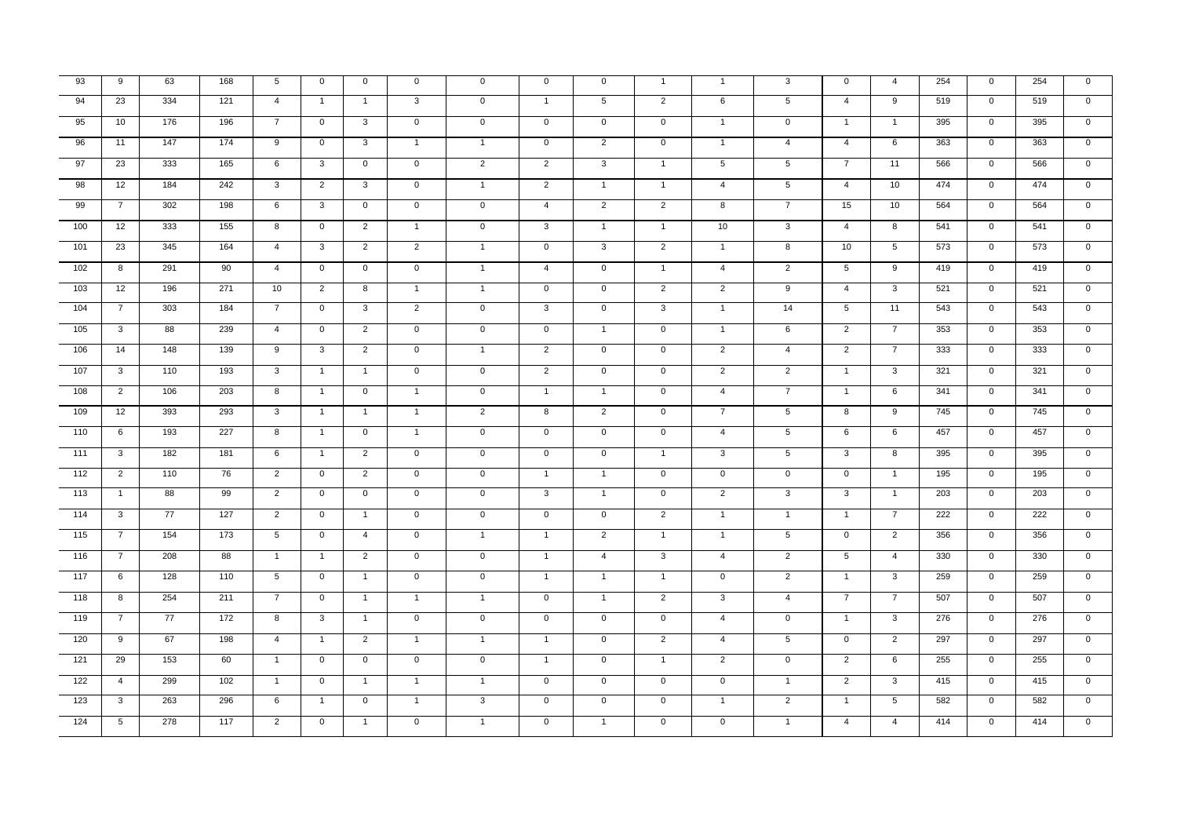| 93     | 9               | 63              | 168 | 5               | $\mathsf{O}$   | $\mathbf{0}$   | $\mathsf 0$    | $\mathsf 0$    | $\mathbf 0$         | $\mathsf 0$     | $\overline{1}$ | $\overline{1}$ | 3               | $\mathbf{0}$    | $\overline{4}$ | 254 | $\mathbf 0$    | 254 | $\mathbf 0$    |
|--------|-----------------|-----------------|-----|-----------------|----------------|----------------|----------------|----------------|---------------------|-----------------|----------------|----------------|-----------------|-----------------|----------------|-----|----------------|-----|----------------|
| 94     | 23              | 334             | 121 | $\overline{4}$  | $\overline{1}$ | $\overline{1}$ | $\mathbf{3}$   | $\mathsf 0$    | $\overline{1}$      | $5\overline{)}$ | $\overline{2}$ | 6              | $5\phantom{.0}$ | $\overline{4}$  | 9              | 519 | $\mathbf 0$    | 519 | $\mathbf 0$    |
| 95     | 10 <sup>1</sup> | 176             | 196 | $\overline{7}$  | $\mathbf{0}$   | $\mathbf{3}$   | $\mathbf 0$    | $\mathsf 0$    | $\mathbf 0$         | $\mathbf 0$     | $\mathbf 0$    | $\mathbf{1}$   | $\mathsf 0$     | $\mathbf{1}$    | $\mathbf{1}$   | 395 | $\mathbf 0$    | 395 | $\mathbf 0$    |
| 96     | 11              | 147             | 174 | 9               | $\overline{0}$ | 3              | $\overline{1}$ | $\mathbf{1}$   | $\mathbf 0$         | $\overline{2}$  | $\overline{0}$ | $\overline{1}$ | $\overline{4}$  | $\overline{4}$  | 6              | 363 | $\overline{0}$ | 363 | $\mathbf 0$    |
| 97     | 23              | 333             | 165 | 6               | 3              | $\mathbf 0$    | $\mathsf 0$    | $\overline{2}$ | 2                   | 3               | $\overline{1}$ | 5              | 5               | $\overline{7}$  | 11             | 566 | $\mathbf{0}$   | 566 | $\mathbf 0$    |
| 98     | 12              | 184             | 242 | 3               | $\overline{2}$ | $\mathbf{3}$   | $\mathsf 0$    | $\mathbf{1}$   | $\overline{2}$      | $\overline{1}$  | $\overline{1}$ | $\overline{4}$ | $5\phantom{.0}$ | $\overline{4}$  | 10             | 474 | $\mathbf{0}$   | 474 | $\overline{0}$ |
| 99     | $\overline{7}$  | 302             | 198 | 6               | $\mathbf{3}$   | $\mathbf{0}$   | $\mathbf 0$    | $\mathbf{0}$   | $\overline{4}$      | $\overline{2}$  | 2              | 8              | $\overline{7}$  | 15              | 10             | 564 | $\mathbf 0$    | 564 | $\mathbf 0$    |
| 100    | 12              | 333             | 155 | 8               | $\mathbf{0}$   | $\overline{2}$ | $\overline{1}$ | $\mathsf 0$    | $\overline{3}$      | $\mathbf{1}$    | $\overline{1}$ | 10             | 3               | $\overline{4}$  | 8              | 541 | $\mathbf 0$    | 541 | $\mathsf 0$    |
| 101    | 23              | 345             | 164 | $\overline{4}$  | $\overline{3}$ | $\overline{2}$ | $\overline{2}$ | $\overline{1}$ | $\mathbf 0$         | $\overline{3}$  | $\overline{2}$ | $\overline{1}$ | 8               | 10              | 5              | 573 | $\overline{0}$ | 573 | $\mathbf 0$    |
| 102    | 8               | 291             | 90  | $\overline{4}$  | $\mathbf 0$    | $\overline{0}$ | $\mathsf 0$    | $\mathbf{1}$   | $\overline{4}$      | $\mathbf{0}$    | $\overline{1}$ | $\overline{4}$ | $\overline{2}$  | $5\overline{5}$ | 9              | 419 | $\mathbf{0}$   | 419 | $\mathbf{0}$   |
| 103    | 12              | 196             | 271 | 10              | 2              | 8              | $\overline{1}$ | $\mathbf{1}$   | $\mathbf 0$         | $\mathbf 0$     | $\overline{2}$ | $\overline{2}$ | 9               | $\overline{4}$  | $\mathbf{3}$   | 521 | $\overline{0}$ | 521 | $\mathbf 0$    |
| 104    | $\overline{7}$  | 303             | 184 | $\overline{7}$  | $\mathbf 0$    | $\mathbf{3}$   | $\overline{2}$ | $\mathbf 0$    | $\mathbf{3}$        | $\overline{0}$  | 3 <sup>1</sup> | $\mathbf{1}$   | 14              | $5\overline{5}$ | 11             | 543 | $\mathbf{0}$   | 543 | $\overline{0}$ |
| 105    | $\mathbf{3}$    | 88              | 239 | $\overline{4}$  | $\mathbf 0$    | $\overline{2}$ | $\mathbf 0$    | $\mathbf 0$    | $\overline{0}$      | $\mathbf{1}$    | $\mathbf 0$    | $\overline{1}$ | 6               | $\overline{2}$  | $\overline{7}$ | 353 | $\mathbf{0}$   | 353 | $\mathbf 0$    |
| 106    | 14              | 148             | 139 | 9               | $\mathbf{3}$   | $\overline{2}$ | $\mathsf 0$    | $\mathbf{1}$   | $\overline{2}$      | $\mathbf 0$     | $\mathsf 0$    | $\overline{2}$ | $\overline{4}$  | $\overline{2}$  | $\overline{7}$ | 333 | $\mathbf 0$    | 333 | $\mathsf 0$    |
| 107    | $\overline{3}$  | 110             | 193 | $\overline{3}$  | $\overline{1}$ | $\overline{1}$ | $\overline{0}$ | $\overline{0}$ | $\overline{2}$      | $\overline{0}$  | $\overline{0}$ | $\overline{2}$ | $\overline{2}$  | $\mathbf{1}$    | $\overline{3}$ | 321 | $\overline{0}$ | 321 | $\mathbf 0$    |
| 108    | 2               | 106             | 203 | 8               | $\overline{1}$ | $\mathbf 0$    | $\mathbf{1}$   | $\mathbf{0}$   | $\overline{1}$      | $\mathbf{1}$    | $\mathbf{0}$   | $\overline{4}$ | $\overline{7}$  | $\overline{1}$  | 6              | 341 | $\mathbf 0$    | 341 | $\mathbf 0$    |
| 109    | 12              | 393             | 293 | $\mathbf{3}$    | $\overline{1}$ | $\overline{1}$ | $\overline{1}$ | $\overline{2}$ | 8                   | $\overline{2}$  | $\mathbf 0$    | $\overline{7}$ | $5\phantom{.0}$ | 8               | 9              | 745 | $\mathbf 0$    | 745 | $\mathbf 0$    |
| 110    | 6               | 193             | 227 | $\overline{8}$  | $\mathbf{1}$   | $\overline{0}$ | $\mathbf{1}$   | $\overline{0}$ | $\overline{0}$      | $\overline{0}$  | $\overline{0}$ | $\overline{4}$ | $\overline{5}$  | 6               | 6              | 457 | $\overline{0}$ | 457 | $\overline{0}$ |
| $-111$ | $\mathbf{3}$    | 182             | 181 | 6               | $\overline{1}$ | $\overline{2}$ | $\mathsf 0$    | $\mathbf 0$    | $\mathbf{0}$        | $\mathbf{0}$    | $\overline{1}$ | $\mathbf{3}$   | 5               | $\mathbf{3}$    | 8              | 395 | $\mathbf{0}$   | 395 | $\mathbf{0}$   |
| $-112$ | $\overline{2}$  | 110             | 76  | $\overline{2}$  | $\mathbf{0}$   | $\overline{2}$ | $\mathsf 0$    | $\mathbf 0$    | $\overline{1}$      | $\mathbf{1}$    | $\mathbf 0$    | $\mathbf 0$    | $\mathsf 0$     | $\mathbf 0$     | $\overline{1}$ | 195 | $\mathbf 0$    | 195 | $\pmb{0}$      |
| $-113$ | $\overline{1}$  | 88              | 99  | $\overline{2}$  | $\mathbf{0}$   | $\overline{0}$ | $\mathsf 0$    | $\overline{0}$ | $\overline{\omega}$ | $\mathbf{1}$    | $\mathbf 0$    | $\overline{2}$ | $\mathbf{3}$    | $\overline{3}$  | $\mathbf{1}$   | 203 | $\overline{0}$ | 203 | $\mathsf 0$    |
| $-114$ | $\overline{3}$  | $\overline{77}$ | 127 | $\overline{2}$  | $\overline{0}$ | $\mathbf{1}$   | $\mathsf 0$    | $\overline{0}$ | $\mathbf 0$         | $\overline{0}$  | $\overline{2}$ | $\overline{1}$ | $\mathbf{1}$    | $\overline{1}$  | $\overline{7}$ | 222 | $\overline{0}$ | 222 | $\mathbf 0$    |
| $-115$ | $\overline{7}$  | 154             | 173 | $5\phantom{.0}$ | $\mathsf{O}$   | $\overline{4}$ | $\mathsf 0$    | $\mathbf{1}$   | $\overline{1}$      | $\overline{2}$  | $\overline{1}$ | $\overline{1}$ | $5\phantom{.0}$ | $\mathbf 0$     | 2              | 356 | $\mathbf 0$    | 356 | $\mathbf 0$    |
| 116    | $7\overline{ }$ | 208             | 88  | $\overline{1}$  | $\mathbf{1}$   | $\overline{2}$ | $\mathbf 0$    | $\mathbf{0}$   | $\overline{1}$      | $\overline{4}$  | $\overline{3}$ | $\overline{4}$ | $\overline{2}$  | $5\overline{5}$ | $\overline{4}$ | 330 | $\overline{0}$ | 330 | $\overline{0}$ |
| 117    | 6               | 128             | 110 | $5\overline{)}$ | $\overline{0}$ | $\overline{1}$ | $\mathbf 0$    | $\overline{0}$ | $\overline{1}$      | $\overline{1}$  | $\overline{1}$ | $\overline{0}$ | $\overline{2}$  | $\overline{1}$  | 3              | 259 | $\overline{0}$ | 259 | $\overline{0}$ |
| 118    | 8               | 254             | 211 | $\overline{7}$  | $\mathbf 0$    | $\overline{1}$ | $\overline{1}$ | $\overline{1}$ | $\mathbf 0$         | $\overline{1}$  | 2              | 3              | $\overline{4}$  | $\overline{7}$  | $\overline{7}$ | 507 | $\mathsf 0$    | 507 | $\mathbf 0$    |
| $-119$ | $\overline{7}$  | 77              | 172 | 8               | $\mathbf{3}$   | $\mathbf{1}$   | $\mathsf 0$    | $\mathbf 0$    | $\mathbf 0$         | $\mathbf 0$     | $\mathbf 0$    | $\overline{4}$ | $\mathsf 0$     | $\overline{1}$  | $\mathbf{3}$   | 276 | $\mathbf 0$    | 276 | $\mathbf 0$    |
| 120    | $\overline{9}$  | 67              | 198 | $\overline{4}$  | $\overline{1}$ | $\overline{2}$ | $\mathbf{1}$   | $\overline{1}$ | $\overline{1}$      | $\overline{0}$  | $\overline{2}$ | $\overline{4}$ | $\overline{5}$  | $\overline{0}$  | $\overline{2}$ | 297 | $\overline{0}$ | 297 | $\mathbf 0$    |
| 121    | 29              | 153             | 60  | $\overline{1}$  | $\mathsf{O}$   | $\mathbf 0$    | $\mathsf 0$    | $\mathsf 0$    | $\overline{1}$      | $\mathbf 0$     | $\overline{1}$ | $\overline{2}$ | $\mathsf 0$     | $\overline{2}$  | 6              | 255 | $\mathbf 0$    | 255 | $\mathbf 0$    |
| 122    | $\overline{4}$  | 299             | 102 | $\overline{1}$  | $\mathbf{0}$   | $\overline{1}$ | $\mathbf{1}$   | $\mathbf{1}$   | $\mathbf 0$         | $\mathbf 0$     | $\mathbf 0$    | $\mathbf 0$    | $\mathbf{1}$    | $\overline{2}$  | $\mathbf{3}$   | 415 | $\mathbf{0}$   | 415 | $\mathbf 0$    |
| 123    | 3               | 263             | 296 | 6               | $\overline{1}$ | $\overline{0}$ | $\mathbf{1}$   | $\mathbf{3}$   | $\overline{0}$      | $\overline{0}$  | $\overline{0}$ | $\overline{1}$ | $\overline{2}$  | $\overline{1}$  | $\overline{5}$ | 582 | $\overline{0}$ | 582 | $\overline{0}$ |
| 124    | 5               | 278             | 117 | $\overline{2}$  | $\overline{0}$ | $\mathbf{1}$   | $\overline{0}$ | $\mathbf{1}$   | $\overline{0}$      | $\overline{1}$  | $\overline{0}$ | $\overline{0}$ | $\overline{1}$  | $\overline{4}$  | $\overline{4}$ | 414 | $\overline{0}$ | 414 | $\overline{0}$ |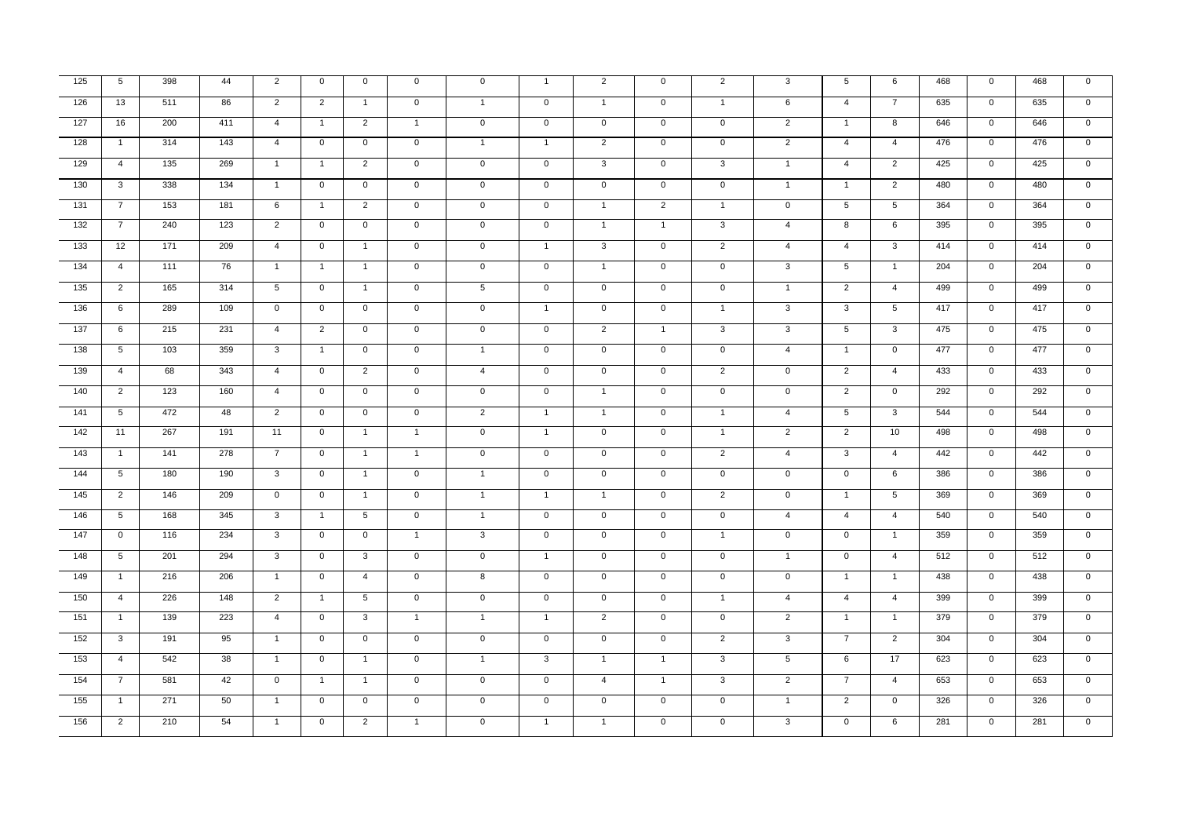| 125              | 5 <sup>5</sup>  | 398 | 44  | $\overline{2}$      | $\mathbf 0$    | $\mathbf{0}$    | $\mathbf 0$    | $\mathbf 0$    | $\overline{1}$ | $\overline{2}$ | $\mathbf 0$    | $\overline{2}$ | 3               | $5\overline{5}$ | 6               | 468 | $\mathbf 0$    | 468 | $\mathbf 0$    |
|------------------|-----------------|-----|-----|---------------------|----------------|-----------------|----------------|----------------|----------------|----------------|----------------|----------------|-----------------|-----------------|-----------------|-----|----------------|-----|----------------|
| 126              | 13              | 511 | 86  | $\overline{2}$      | $\overline{2}$ | $\overline{1}$  | $\overline{0}$ | $\mathbf{1}$   | $\overline{0}$ | $\mathbf{1}$   | $\overline{0}$ | $\overline{1}$ | 6               | $\overline{4}$  | $\overline{7}$  | 635 | $\overline{0}$ | 635 | $\overline{0}$ |
| $\overline{127}$ | 16              | 200 | 411 | $\overline{4}$      | $\overline{1}$ | $\overline{2}$  | $\overline{1}$ | $\mathbf 0$    | $\mathbf 0$    | $\overline{0}$ | $\mathbf{0}$   | $\overline{0}$ | $\overline{2}$  | $\overline{1}$  | 8               | 646 | $\overline{0}$ | 646 | $\mathbf 0$    |
| 128              | $\overline{1}$  | 314 | 143 | $\overline{4}$      | $\overline{0}$ | $\overline{0}$  | $\overline{0}$ | $\overline{1}$ | $\overline{1}$ | $\overline{2}$ | $\overline{0}$ | $\overline{0}$ | $\overline{2}$  | $\overline{4}$  | $\overline{4}$  | 476 | $\overline{0}$ | 476 | $\overline{0}$ |
| 129              | $\overline{4}$  | 135 | 269 | $\overline{1}$      | $\overline{1}$ | $\overline{2}$  | $\mathbf 0$    | $\mathbf 0$    | $\mathbf 0$    | $\mathbf{3}$   | $\mathbf 0$    | $\mathbf{3}$   | $\overline{1}$  | $\overline{4}$  | 2               | 425 | $\mathbf{0}$   | 425 | $\overline{0}$ |
| 130              | $\mathbf{3}$    | 338 | 134 | $\overline{1}$      | $\mathbf 0$    | $\mathbf 0$     | $\mathsf 0$    | $\mathsf 0$    | $\overline{0}$ | $\mathbf 0$    | $\mathbf{0}$   | $\mathbf 0$    | $\mathbf{1}$    | $\overline{1}$  | $\overline{2}$  | 480 | $\mathbf 0$    | 480 | $\mathbf 0$    |
| 131              | $\overline{7}$  | 153 | 181 | 6                   | $\overline{1}$ | $\overline{2}$  | $\mathsf 0$    | $\mathbf 0$    | $\mathbf 0$    | $\mathbf{1}$   | $\overline{2}$ | $\mathbf{1}$   | $\mathbf 0$     | 5               | 5               | 364 | $\overline{0}$ | 364 | $\mathbf 0$    |
| 132              | $7\overline{ }$ | 240 | 123 | 2                   | $\mathbf 0$    | $\mathbf 0$     | $\mathbf 0$    | $\mathbf{0}$   | $\mathbf 0$    | $\mathbf{1}$   | $\overline{1}$ | $\overline{3}$ | $\overline{4}$  | $\overline{8}$  | 6               | 395 | $\overline{0}$ | 395 | $\mathbf 0$    |
| $-133$           | 12              | 171 | 209 | $\overline{4}$      | $\mathbf{0}$   | $\overline{1}$  | $\mathsf 0$    | $\mathbf{0}$   | $\overline{1}$ | $\mathbf{3}$   | $\mathbf 0$    | $\overline{2}$ | $\overline{4}$  | $\overline{4}$  | $\mathbf{3}$    | 414 | $\mathbf{0}$   | 414 | $\mathbf 0$    |
| 134              | $\overline{4}$  | 111 | 76  | $\overline{1}$      | $\overline{1}$ | $\overline{1}$  | $\mathsf 0$    | $\mathsf 0$    | $\mathbf 0$    | $\overline{1}$ | $\mathbf 0$    | $\mathbf 0$    | 3               | $5\overline{)}$ | $\overline{1}$  | 204 | $\mathbf 0$    | 204 | $\mathbf 0$    |
| 135              | $\overline{2}$  | 165 | 314 | $5\overline{)}$     | $\overline{0}$ | $\overline{1}$  | $\overline{0}$ | $\overline{5}$ | $\overline{0}$ | $\overline{0}$ | $\overline{0}$ | $\overline{0}$ | $\mathbf{1}$    | $\overline{2}$  | $\overline{4}$  | 499 | $\overline{0}$ | 499 | $\overline{0}$ |
| 136              | 6               | 289 | 109 | $\mathbf{0}$        | $\mathbf 0$    | $\mathbf{0}$    | $\mathsf 0$    | $\mathbf 0$    | $\overline{1}$ | $\overline{0}$ | $\mathbf{0}$   | $\overline{1}$ | 3               | $\mathbf{3}$    | $5\overline{5}$ | 417 | $\mathbf{0}$   | 417 | $\mathbf{0}$   |
| 137              | 6               | 215 | 231 | $\overline{4}$      | $\overline{2}$ | $\mathbf 0$     | $\mathsf 0$    | $\mathbf 0$    | $\mathbf 0$    | $\overline{2}$ | $\overline{1}$ | $\mathbf{3}$   | $\mathbf{3}$    | $5\overline{5}$ | 3               | 475 | $\mathbf 0$    | 475 | $\mathbf 0$    |
| 138              | $5\overline{)}$ | 103 | 359 | $\mathbf{3}$        | $\overline{1}$ | $\mathbf{0}$    | $\mathbf 0$    | $\overline{1}$ | $\mathbf 0$    | $\mathbf 0$    | $\mathbf 0$    | $\overline{0}$ | $\overline{4}$  | $\overline{1}$  | $\mathbf 0$     | 477 | $\mathbf 0$    | 477 | $\mathsf 0$    |
| 139              | $\overline{4}$  | 68  | 343 | $\overline{4}$      | $\overline{0}$ | $\overline{2}$  | $\mathbf 0$    | $\overline{4}$ | $\mathbf 0$    | $\overline{0}$ | $\overline{0}$ | $\overline{2}$ | $\mathbf 0$     | $\overline{2}$  | $\overline{4}$  | 433 | $\overline{0}$ | 433 | $\mathbf 0$    |
| 140              | $\overline{2}$  | 123 | 160 | $\overline{4}$      | $\mathbf 0$    | $\mathbf 0$     | $\mathbf 0$    | $\mathsf 0$    | $\mathbf 0$    | $\mathbf{1}$   | $\mathbf{0}$   | $\overline{0}$ | $\mathsf 0$     | $\overline{2}$  | $\mathbf{0}$    | 292 | $\overline{0}$ | 292 | $\mathbf 0$    |
| 141              | $5\overline{5}$ | 472 | 48  | 2                   | $\overline{0}$ | $\mathbf 0$     | $\mathsf 0$    | $\overline{2}$ | $\overline{1}$ | $\overline{1}$ | $\overline{0}$ | $\overline{1}$ | $\overline{4}$  | $5\overline{)}$ | 3               | 544 | $\overline{0}$ | 544 | $\mathbf 0$    |
| $-142$           | 11              | 267 | 191 | 11                  | $\mathbf 0$    | $\overline{1}$  | $\mathbf{1}$   | $\mathbf 0$    | $\overline{1}$ | $\overline{0}$ | $\mathbf{0}$   | $\overline{1}$ | $\overline{2}$  | $\overline{2}$  | 10              | 498 | $\overline{0}$ | 498 | $\mathbf{0}$   |
| 143              | $\overline{1}$  | 141 | 278 | $\overline{7}$      | $\mathsf{O}$   | $\overline{1}$  | $\mathbf{1}$   | $\mathbf 0$    | $\mathbf 0$    | $\overline{0}$ | $\mathbf 0$    | $\overline{2}$ | $\overline{4}$  | $\overline{3}$  | $\overline{4}$  | 442 | $\mathbf 0$    | 442 | $\mathbf 0$    |
| 144              | $5\overline{)}$ | 180 | 190 | $\mathbf{3}$        | $\mathbf{0}$   | $\overline{1}$  | $\mathsf 0$    | $\overline{1}$ | $\mathbf 0$    | $\mathsf 0$    | $\mathbf 0$    | $\mathbf 0$    | $\mathsf 0$     | $\mathbf 0$     | 6               | 386 | $\mathbf 0$    | 386 | $\mathsf 0$    |
| 145              | $\overline{2}$  | 146 | 209 | $\mathbf 0$         | $\mathbf 0$    | $\mathbf{1}$    | $\mathsf 0$    | $\mathbf{1}$   | $\mathbf{1}$   | $\mathbf{1}$   | $\mathbf 0$    | $\overline{2}$ | $\mathbf 0$     | $\overline{1}$  | $5\overline{5}$ | 369 | $\mathbf 0$    | 369 | $\mathbf 0$    |
| 146              | $5\overline{)}$ | 168 | 345 | $\overline{\omega}$ | $\overline{1}$ | $5\overline{)}$ | $\mathsf 0$    | $\mathbf{1}$   | $\overline{0}$ | $\overline{0}$ | $\overline{0}$ | $\overline{0}$ | $\overline{4}$  | $\overline{4}$  | $\overline{4}$  | 540 | $\overline{0}$ | 540 | $\mathbf 0$    |
| 147              | $\mathbf 0$     | 116 | 234 | 3                   | $\mathbf 0$    | $\mathbf 0$     | $\mathbf{1}$   | $\mathbf{3}$   | $\mathbf 0$    | $\mathbf 0$    | $\mathbf 0$    | $\overline{1}$ | $\mathsf 0$     | $\mathbf 0$     | $\mathbf{1}$    | 359 | $\mathbf 0$    | 359 | $\mathbf 0$    |
| 148              | $5\overline{)}$ | 201 | 294 | $\overline{3}$      | $\overline{0}$ | $\overline{3}$  | $\overline{0}$ | $\overline{0}$ | $\overline{1}$ | $\overline{0}$ | $\overline{0}$ | $\overline{0}$ | $\mathbf{1}$    | $\overline{0}$  | $\overline{4}$  | 512 | $\overline{0}$ | 512 | $\overline{0}$ |
| 149              | $\overline{1}$  | 216 | 206 | $\overline{1}$      | $\overline{0}$ | $\overline{4}$  | $\overline{0}$ | $\overline{8}$ | $\overline{0}$ | $\overline{0}$ | $\overline{0}$ | $\overline{0}$ | $\overline{0}$  | $\overline{1}$  | $\overline{1}$  | 438 | $\overline{0}$ | 438 | $\overline{0}$ |
| 150              | $\overline{4}$  | 226 | 148 | 2                   | $\overline{1}$ | $5\overline{)}$ | $\mathsf 0$    | $\mathbf 0$    | $\overline{0}$ | $\overline{0}$ | $\mathbf{0}$   | $\overline{1}$ | $\overline{4}$  | $\overline{4}$  | $\overline{4}$  | 399 | $\overline{0}$ | 399 | $\mathbf 0$    |
| $-151$           | $\overline{1}$  | 139 | 223 | $\overline{4}$      | $\mathbf 0$    | $\mathbf{3}$    | $\overline{1}$ | $\overline{1}$ | $\overline{1}$ | $\overline{2}$ | $\mathbf{0}$   | $\mathbf 0$    | $\overline{2}$  | $\overline{1}$  | $\overline{1}$  | 379 | $\mathbf{0}$   | 379 | $\mathbf 0$    |
| 152              | $\mathbf{3}$    | 191 | 95  | $\overline{1}$      | $\mathbf 0$    | $\mathbf 0$     | $\mathsf 0$    | $\mathsf 0$    | $\mathbf 0$    | $\overline{0}$ | $\mathbf{0}$   | $\overline{2}$ | 3               | $\overline{7}$  | $\overline{2}$  | 304 | $\mathbf 0$    | 304 | $\mathbf 0$    |
| 153              | $\overline{4}$  | 542 | 38  | $\mathbf{1}$        | $\mathbf 0$    | $\mathbf{1}$    | $\mathsf 0$    | $\mathbf{1}$   | $\overline{3}$ | $\mathbf{1}$   | $\overline{1}$ | $\overline{3}$ | $5\phantom{.0}$ | 6               | 17              | 623 | $\overline{0}$ | 623 | $\mathsf 0$    |
| 154              | $\overline{7}$  | 581 | 42  | $\mathbf{0}$        | $\overline{1}$ | $\mathbf{1}$    | $\mathbf 0$    | $\mathbf 0$    | $\mathbf 0$    | $\overline{4}$ | $\overline{1}$ | $\mathbf{3}$   | $\overline{2}$  | $\overline{7}$  | $\overline{4}$  | 653 | $\overline{0}$ | 653 | $\mathbf 0$    |
| 155              | $\overline{1}$  | 271 | 50  | $\overline{1}$      | $\overline{0}$ | $\mathbf 0$     | $\mathsf 0$    | $\mathsf 0$    | $\mathbf 0$    | $\overline{0}$ | $\overline{0}$ | $\overline{0}$ | $\mathbf{1}$    | $\overline{2}$  | $\mathbf 0$     | 326 | $\overline{0}$ | 326 | $\overline{0}$ |
| 156              | $\overline{2}$  | 210 | 54  | $\mathbf{1}$        | $\overline{0}$ | $\overline{2}$  | $\mathbf{1}$   | $\overline{0}$ | $\overline{1}$ | $\mathbf{1}$   | $\overline{0}$ | $\overline{0}$ | $\overline{3}$  | $\overline{0}$  | 6               | 281 | $\overline{0}$ | 281 | $\overline{0}$ |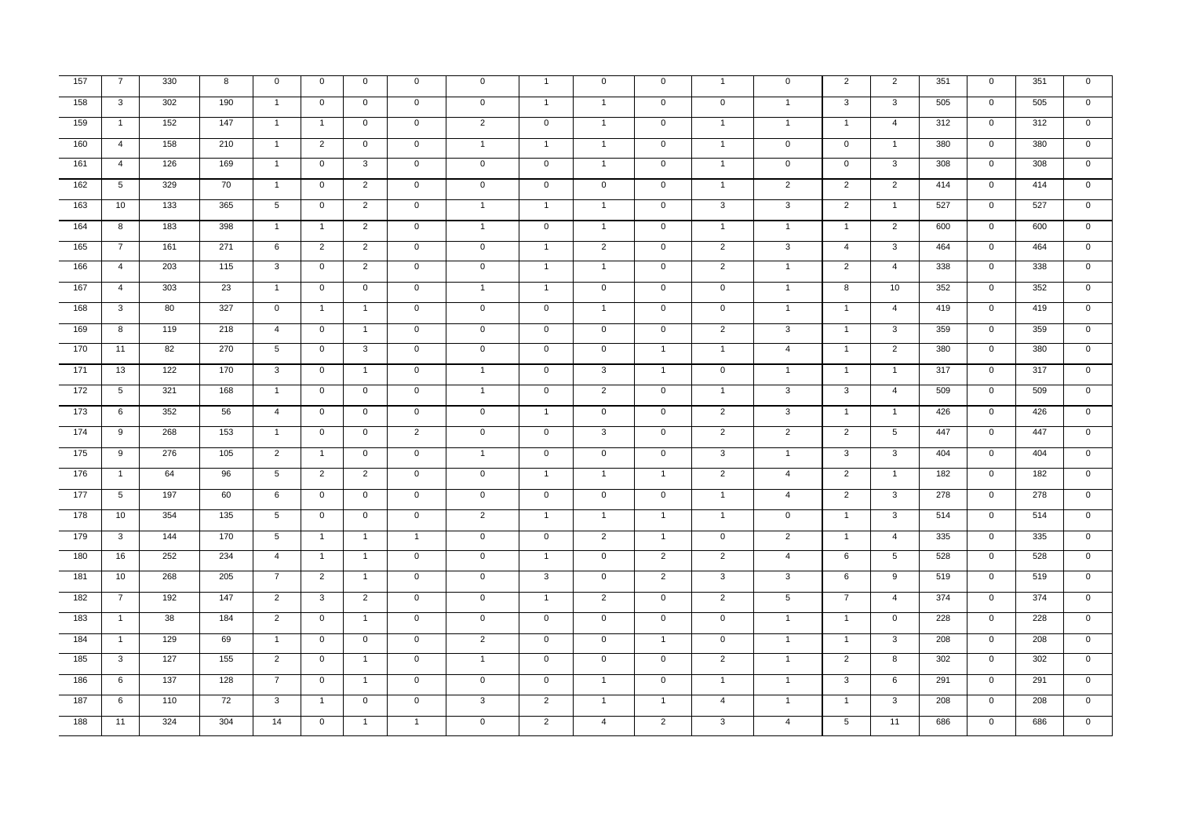| 157    | $\overline{7}$  | 330 | 8   | $\mathbf 0$     | $\mathbf{0}$   | $\mathbf{0}$   | $\mathbf 0$    | $\mathbf 0$         | $\mathbf{1}$   | $\mathbf 0$    | $\mathbf{0}$   | $\mathbf{1}$   | $\mathbf 0$     | 2              | $\overline{2}$          | 351 | $\mathbf{0}$   | 351 | $\mathbf 0$    |
|--------|-----------------|-----|-----|-----------------|----------------|----------------|----------------|---------------------|----------------|----------------|----------------|----------------|-----------------|----------------|-------------------------|-----|----------------|-----|----------------|
| $-158$ | 3               | 302 | 190 | $\overline{1}$  | $\overline{0}$ | $\mathbf 0$    | $\mathsf 0$    | $\mathbf 0$         | $\mathbf{1}$   | $\mathbf{1}$   | $\overline{0}$ | $\overline{0}$ | $\overline{1}$  | $\overline{3}$ | 3                       | 505 | $\overline{0}$ | 505 | $\overline{0}$ |
| 159    | $\overline{1}$  | 152 | 147 | $\overline{1}$  | $\overline{1}$ | $\mathbf 0$    | $\mathbf 0$    | $\overline{2}$      | $\mathbf 0$    | $\overline{1}$ | $\overline{0}$ | $\mathbf{1}$   | $\overline{1}$  | $\mathbf{1}$   | $\overline{4}$          | 312 | $\mathbf 0$    | 312 | $\mathbf 0$    |
| 160    | $\overline{4}$  | 158 | 210 | $\overline{1}$  | $\overline{2}$ | $\overline{0}$ | $\mathsf 0$    | $\mathbf{1}$        | $\mathbf{1}$   | $\mathbf{1}$   | $\overline{0}$ | $\mathbf{1}$   | $\mathbf 0$     | $\mathbf 0$    | $\mathbf{1}$            | 380 | $\overline{0}$ | 380 | $\mathbf 0$    |
| $-161$ | $\overline{4}$  | 126 | 169 | $\overline{1}$  | $\overline{0}$ | $\mathbf{3}$   | $\mathsf 0$    | $\mathbf 0$         | $\overline{0}$ | $\overline{1}$ | $\overline{0}$ | $\overline{1}$ | $\mathbf 0$     | $\overline{0}$ | 3                       | 308 | $\overline{0}$ | 308 | $\mathbf 0$    |
| 162    | $5\overline{5}$ | 329 | 70  | $\overline{1}$  | $\mathbf 0$    | $\overline{2}$ | $\mathbf 0$    | $\mathbf 0$         | $\mathbf{0}$   | $\mathbf{0}$   | $\mathbf{0}$   | $\mathbf{1}$   | $\overline{2}$  | $\overline{2}$ | $\overline{2}$          | 414 | $\overline{0}$ | 414 | $\mathbf 0$    |
| $-163$ | 10              | 133 | 365 | 5               | $\mathbf{0}$   | $\overline{2}$ | $\mathbf{0}$   | $\mathbf{1}$        | $\overline{1}$ | $\mathbf{1}$   | $\overline{0}$ | $\overline{3}$ | $\mathbf{3}$    | $\overline{2}$ | $\overline{1}$          | 527 | $\overline{0}$ | 527 | $\mathbf 0$    |
| $-164$ | 8               | 183 | 398 | $\overline{1}$  | $\overline{1}$ | $\overline{2}$ | $\mathsf 0$    | $\mathbf{1}$        | $\mathsf{O}$   | $\mathbf{1}$   | $\mathbf 0$    | $\mathbf{1}$   | $\mathbf{1}$    | $\overline{1}$ | $\overline{2}$          | 600 | $\mathbf 0$    | 600 | $\mathbf 0$    |
| 165    | $\overline{7}$  | 161 | 271 | 6               | $\overline{2}$ | $\overline{2}$ | $\mathsf 0$    | $\mathbf 0$         | $\mathbf{1}$   | $2^{\circ}$    | $\mathbf{0}$   | $\overline{2}$ | $\mathbf{3}$    | $\overline{4}$ | $\mathbf{3}$            | 464 | $\mathbf 0$    | 464 | $\mathbf 0$    |
| 166    | $\overline{4}$  | 203 | 115 | $\mathbf{3}$    | $\mathsf{O}$   | $\overline{2}$ | $\mathsf 0$    | $\mathbf 0$         | $\overline{1}$ | $\mathbf{1}$   | $\mathbf 0$    | $\overline{2}$ | $\overline{1}$  | $\overline{2}$ | $\overline{4}$          | 338 | $\mathbf 0$    | 338 | $\mathbf 0$    |
| $-167$ | $\overline{4}$  | 303 | 23  | $\overline{1}$  | $\mathbf 0$    | $\mathbf 0$    | $\mathsf 0$    | $\mathbf{1}$        | $\overline{1}$ | $\mathbf 0$    | $\overline{0}$ | $\overline{0}$ | $\overline{1}$  | 8              | 10                      | 352 | $\overline{0}$ | 352 | $\overline{0}$ |
| 168    | 3               | 80  | 327 | $\overline{0}$  | $\mathbf{1}$   | $\mathbf{1}$   | $\mathsf 0$    | $\overline{0}$      | $\overline{0}$ | $\mathbf{1}$   | $\overline{0}$ | $\overline{0}$ | $\overline{1}$  | $\mathbf{1}$   | $\overline{4}$          | 419 | $\overline{0}$ | 419 | $\overline{0}$ |
| 169    | 8               | 119 | 218 | $\overline{4}$  | $\mathbf 0$    | $\overline{1}$ | $\mathbf 0$    | $\mathbf 0$         | $\mathbf{0}$   | $\overline{0}$ | $\overline{0}$ | $\overline{2}$ | $\overline{3}$  | $\overline{1}$ | $\mathbf{3}$            | 359 | $\mathbf{0}$   | 359 | $\overline{0}$ |
| 170    | 11              | 82  | 270 | $5\phantom{.0}$ | $\mathbf{0}$   | $\mathbf{3}$   | $\mathbf 0$    | $\mathsf{O}\xspace$ | $\mathsf 0$    | $\mathbf 0$    | $\overline{1}$ | $\mathbf{1}$   | $\overline{4}$  | $\overline{1}$ | $\overline{2}$          | 380 | $\mathbf 0$    | 380 | $\mathbf 0$    |
| $-171$ | 13              | 122 | 170 | $\mathbf{3}$    | $\overline{0}$ | $\overline{1}$ | $\mathbf 0$    | $\mathbf{1}$        | $\mathbf 0$    | $\overline{3}$ | $\overline{1}$ | $\overline{0}$ | $\overline{1}$  | $\overline{1}$ | $\overline{1}$          | 317 | $\mathbf{0}$   | 317 | $\overline{0}$ |
| 172    | 5               | 321 | 168 | $\overline{1}$  | $\mathbf 0$    | $\mathbf 0$    | $\mathsf 0$    | $\mathbf{1}$        | $\mathsf{O}$   | $\overline{2}$ | $\mathbf 0$    | $\mathbf{1}$   | $\mathbf{3}$    | 3              | $\overline{4}$          | 509 | $\mathbf 0$    | 509 | $\mathbf 0$    |
| 173    | 6               | 352 | 56  | $\overline{4}$  | $\mathsf{O}$   | $\mathbf 0$    | $\mathsf 0$    | $\mathbf 0$         | $\overline{1}$ | $\mathbf 0$    | $\mathbf 0$    | $\overline{2}$ | $\mathbf{3}$    | $\overline{1}$ | $\overline{1}$          | 426 | $\mathbf 0$    | 426 | $\mathbf 0$    |
| 174    | 9               | 268 | 153 | $\overline{1}$  | $\mathbf 0$    | $\mathbf{0}$   | $\overline{2}$ | $\mathbf 0$         | $\mathbf{0}$   | 3              | $\mathbf 0$    | $\overline{2}$ | $\overline{2}$  | $\overline{2}$ | $5\overline{5}$         | 447 | $\mathbf{0}$   | 447 | $\mathbf 0$    |
| 175    | 9               | 276 | 105 | $\overline{2}$  | $\overline{1}$ | $\mathbf 0$    | $\mathbf 0$    | $\mathbf{1}$        | $\mathsf 0$    | $\mathbf 0$    | $\mathbf 0$    | $\mathbf{3}$   | $\overline{1}$  | $\mathbf{3}$   | $\mathbf{3}$            | 404 | $\mathbf{0}$   | 404 | $\mathbf 0$    |
| 176    | $\overline{1}$  | 64  | 96  | $5\overline{5}$ | $\overline{2}$ | 2              | $\mathsf 0$    | $\mathbf 0$         | $\overline{1}$ | $\overline{1}$ | $\overline{1}$ | $\overline{2}$ | $\overline{4}$  | $\overline{2}$ | $\overline{1}$          | 182 | $\mathbf 0$    | 182 | $\mathbf 0$    |
| $-177$ | $5\overline{)}$ | 197 | 60  | 6               | $\overline{0}$ | $\overline{0}$ | $\mathsf 0$    | $\overline{0}$      | $\overline{0}$ | $\overline{0}$ | $\overline{0}$ | $\overline{1}$ | $\overline{4}$  | $\overline{2}$ | $\overline{3}$          | 278 | $\overline{0}$ | 278 | $\overline{0}$ |
| 178    | 10              | 354 | 135 | $5\overline{)}$ | $\overline{0}$ | $\overline{0}$ | $\mathsf 0$    | $\overline{2}$      | $\overline{1}$ | $\mathbf{1}$   | $\overline{1}$ | $\overline{1}$ | $\mathbf{0}$    | $\overline{1}$ | $\overline{\mathbf{3}}$ | 514 | $\overline{0}$ | 514 | $\overline{0}$ |
| 179    | 3               | 144 | 170 | $5\overline{5}$ | $\overline{1}$ | $\overline{1}$ | $\overline{1}$ | $\mathbf 0$         | $\mathsf{O}$   | 2              | $\overline{1}$ | $\overline{0}$ | $\overline{2}$  | $\overline{1}$ | $\overline{4}$          | 335 | $\mathbf{0}$   | 335 | $\mathbf 0$    |
| $-180$ | 16              | 252 | 234 | $\overline{4}$  | $\overline{1}$ | $\overline{1}$ | $\mathbf 0$    | $\mathbf 0$         | $\overline{1}$ | $\overline{0}$ | $\overline{2}$ | $\overline{2}$ | $\overline{4}$  | 6              | $5\overline{5}$         | 528 | $\overline{0}$ | 528 | $\mathbf 0$    |
| 181    | 10              | 268 | 205 | $\overline{7}$  | $\overline{2}$ | $\mathbf{1}$   | $\mathsf 0$    | $\mathbf 0$         | $\mathbf{3}$   | $\mathsf 0$    | $\overline{2}$ | $\overline{3}$ | $\overline{3}$  | 6              | 9                       | 519 | $\mathbf{0}$   | 519 | $\overline{0}$ |
| 182    | $\overline{7}$  | 192 | 147 | $\overline{2}$  | $\mathbf{3}$   | $\overline{2}$ | $\mathsf 0$    | $\mathbf 0$         | $\mathbf{1}$   | $\overline{2}$ | $\mathbf 0$    | $\overline{2}$ | $5\phantom{.0}$ | $\overline{7}$ | $\overline{4}$          | 374 | $\mathbf 0$    | 374 | $\mathbf 0$    |
| 183    | $\mathbf{1}$    | 38  | 184 | $\overline{2}$  | $\mathbf{0}$   | $\mathbf{1}$   | $\mathbf 0$    | $\mathbf{0}$        | $\mathsf{O}$   | $\mathbf 0$    | $\mathbf 0$    | $\mathbf 0$    | $\overline{1}$  | $\mathbf{1}$   | $\mathsf{O}$            | 228 | $\mathbf{0}$   | 228 | $\mathbf 0$    |
| 184    | $\overline{1}$  | 129 | 69  | $\overline{1}$  | $\overline{0}$ | $\overline{0}$ | $\mathsf 0$    | $\overline{2}$      | $\mathsf{O}$   | $\overline{0}$ | $\mathbf{1}$   | $\overline{0}$ | $\overline{1}$  | $\overline{1}$ | $\overline{3}$          | 208 | $\overline{0}$ | 208 | $\overline{0}$ |
| 185    | $\overline{3}$  | 127 | 155 | $\overline{2}$  | $\mathbf 0$    | $\overline{1}$ | $\mathsf 0$    | $\mathbf{1}$        | $\overline{0}$ | $\overline{0}$ | $\overline{0}$ | $\overline{2}$ | $\overline{1}$  | $\overline{2}$ | 8                       | 302 | $\overline{0}$ | 302 | $\mathbf 0$    |
| 186    | 6               | 137 | 128 | $7\overline{ }$ | $\mathbf 0$    | $\overline{1}$ | $\mathbf 0$    | $\mathbf{0}$        | $\overline{0}$ | $\overline{1}$ | $\mathbf{0}$   | $\overline{1}$ | $\overline{1}$  | $\mathbf{3}$   | 6                       | 291 | $\overline{0}$ | 291 | $\mathbf 0$    |
| 187    | 6               | 110 | 72  | $\overline{3}$  | $\mathbf{1}$   | $\overline{0}$ | $\mathsf 0$    | $\overline{3}$      | $\overline{2}$ | $\mathbf{1}$   | $\mathbf{1}$   | $\overline{4}$ | $\overline{1}$  | $\overline{1}$ | $\overline{3}$          | 208 | $\overline{0}$ | 208 | $\overline{0}$ |
| 188    | 11              | 324 | 304 | 14              | $\overline{0}$ | $\overline{1}$ | $\mathbf{1}$   | $\overline{0}$      | $\overline{2}$ | $\overline{4}$ | $\overline{2}$ | $\overline{3}$ | $\overline{4}$  | 5              | 11                      | 686 | $\overline{0}$ | 686 | $\overline{0}$ |